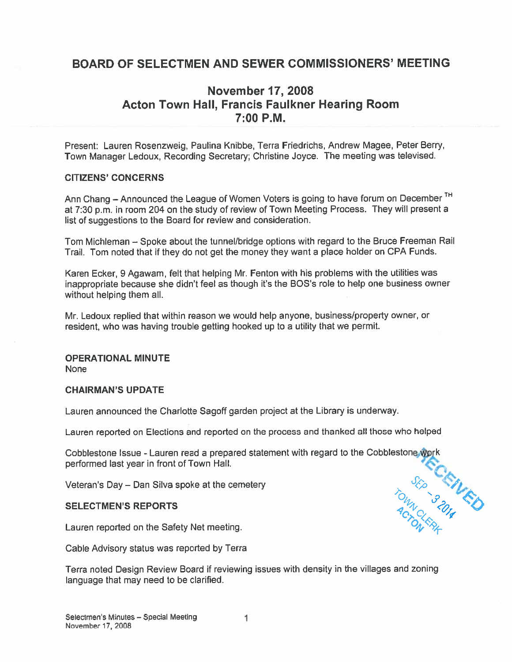### BOARD OF SELECTMEN AND SEWER COMMISSIONERS' MEETING

### November 17, 2008 Acton Town Hall, Francis Faulkner Hearing Room 7:00 P.M.

Present: Lauren Rosenzweig, Paulina Knibbe, Terra Friedrichs, Andrew Magee, Peter Berry, Town Manager Ledoux, Recording Secretary: Christine Joyce. The meeting was televised.

#### CITIZENS' CONCERNS

Ann Chang – Announced the League of Women Voters is going to have forum on December<sup>TH</sup> at 7:30 p.m. in room <sup>204</sup> on the study of review of Town Meeting Process. They will presen<sup>t</sup> <sup>a</sup> list of suggestions to the Board for review and consideration.

Tom Michleman — Spoke about the tunnel/bridge options with regar<sup>d</sup> to the Bruce Freeman Rail Trail. Tom noted that if they do not ge<sup>t</sup> the money they want <sup>a</sup> <sup>p</sup>lace holder on CPA Funds.

Karen Ecker, 9 Agawam, felt that helping Mr. Fenton with his problems with the utilities was inappropriate because she didn't feel as though it's the BOS's role to help one business owner without helping them all.

Mr. Ledoux replied that within reason we would help anyone, business/property owner, or resident, who was having trouble getting hooked up to <sup>a</sup> utility that we permit.

#### OPERATIONAL MINUTE

**None** 

#### CHAIRMAN'S UPDATE

Lauren announced the Charlotte Sagoff garden project at the Library is underway.

Lauren reported on Elections and reported on the process and thanked all those who helped

Cobblestone Issue - Lauren read a prepared statement with regard to the Cobblestone, Work performed last year in front of Town Hall.

 $O_{l_2}$ ,  $\rightarrow$   $S$ 

Veteran's Day — Dan Silva spoke at the cemetery 1'

# SELECTMEN'S REPORTS  $\frac{q_{\alpha\beta}}{q_{\alpha\beta}}$

Lauren reported on the Safety Net meeting.

Cable Advisory status was reported by Terra

Terra noted Design Review Board if reviewing issues with density in the villages and zoning language that may need to be clarified,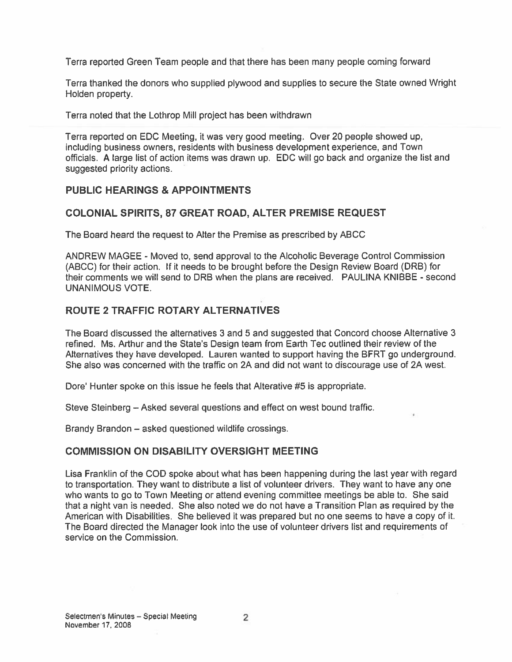Terra reported Green Team people and that there has been many people coming forward

Terra thanked the donors who supplied plywood and supplies to secure the State owned Wright Holden property.

Terra noted that the Lothrop Mill project has been withdrawn

Terra reported on EDO Meeting, it was very good meeting. Over 20 people showed up, including business owners, residents with business development experience, and Town officials, A large list of action items was drawn up. EDO will go back and organize the list and suggested priority actions.

### PUBLIC HEARINGS & APPOINTMENTS

### COLONIAL SPIRITS, 87 GREAT ROAD, ALTER PREMISE REQUEST

The Board heard the request to Alter the Premise as prescribed by ABCC

ANDREW MAGEE - Moved to, send approval to the Alcoholic Beverage Control Commission (ABCO) for their action. If it needs to be brought before the Design Review Board (DRB) for their comments we will send to DRB when the plans are received. PAULINA KNIBBE - second UNANIMOUS VOTE.

### ROUTE 2 TRAFFIC ROTARY ALTERNATIVES

The Board discussed the alternatives 3 and 5 and suggested that Concord choose Alternative 3 refined. Ms. Arthur and the State's Design team from Earth Tec outlined their review of the Alternatives they have developed. Lauren wanted to suppor<sup>t</sup> having the BFRT go underground. She also was concerned with the traffic on 2A and did not want to discourage use of 2A west.

Dore' Hunter spoke on this issue he feels that Alterative #5 is appropriate.

Steve Steinberg — Asked several questions and effect on west bound traffic.

Brandy Brandon — asked questioned wildlife crossings.

### COMMISSION ON DISABILITY OVERSIGHT MEETING

Lisa Franklin of the COD spoke about what has been happening during the last year with regard to transportation. They want to distribute <sup>a</sup> list of volunteer drivers. They want to have any one who wants to go to Town Meeting or attend evening committee meetings be able to. She said that <sup>a</sup> night van is needed, She also noted we do not have <sup>a</sup> Transition Plan as required by the American with Disabilities. She believed it was prepared but no one seems to have <sup>a</sup> copy of it. The Board directed the Manager look into the use of volunteer drivers list and requirements of service on the Oommission.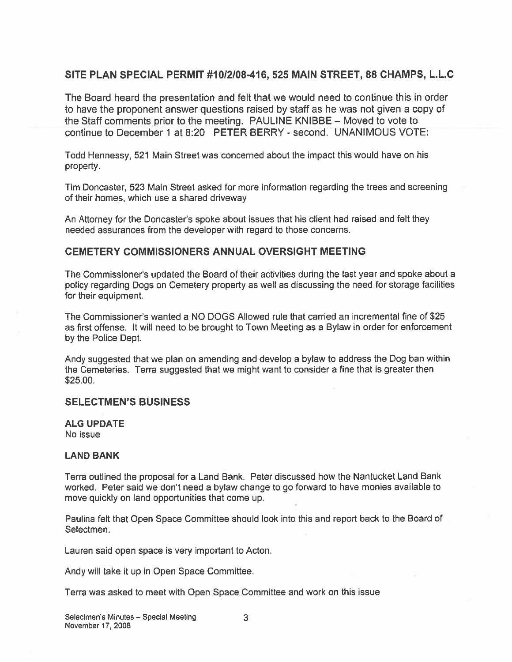### SITE PLAN SPECIAL PERMIT #1012108-416, 525 MAIN STREET, 88 CHAMPS, L.L.C

The Board heard the presentation and felt that we would need to continue this in order to have the proponen<sup>t</sup> answer questions raised by staff as he was not given <sup>a</sup> copy of the Staff comments prior to the meeting. PAULINE KNIBBE — Moved to vote to continue to December 1 at 8:20 PETER BERRY - second. UNANIMOUS VOTE:

Todd Hennessy, 521 Main Street was concerned about the impact this would have on his property.

Tim Doncaster, 523 Main Street asked for more information regarding the trees and screening of their homes, which use <sup>a</sup> shared driveway

An Attorney for the Doncaster's spoke about issues that his client had raised and felt they needed assurances from the developer with regard to those concerns.

#### CEMETERY COMMISSIONERS ANNUAL OVERSIGHT MEETING

The Commissioner's updated the Board of their activities during the last year and spoke about a policy regarding Dogs on Cemetery property as well as discussing the need for storage facilities for their equipment.

The Commissioner's wanted a NO DOGS Allowed rule that carried an incremental fine of \$25 as first offense. It will need to be brought to Town Meeting as <sup>a</sup> Bylaw in order for enforcement by the Police Dept.

Andy suggested that we <sup>p</sup>lan on amending and develop <sup>a</sup> bylaw to address the Dog ban within the Cemeteries. Terra suggested that we might want to consider <sup>a</sup> fine that is greater then S25.00.

#### SELECTMEN'S BUSINESS

ALG UPDATE

No issue

#### LAND BANK

Terra outlined the proposal for <sup>a</sup> Land Bank. Peter discussed how the Nantucket Land Bank worked. Peter said we don't need a bylaw change to go forward to have monies available to move quickly on land opportunities that come up.

Paulina felt that Open Space Committee should look into this and repor<sup>t</sup> back to the Board of Selectmen.

Lauren said open space is very important to Acton.

Andy will take it up in Open Space Committee.

Terra was asked to meet with Open Space Committee and work on this issue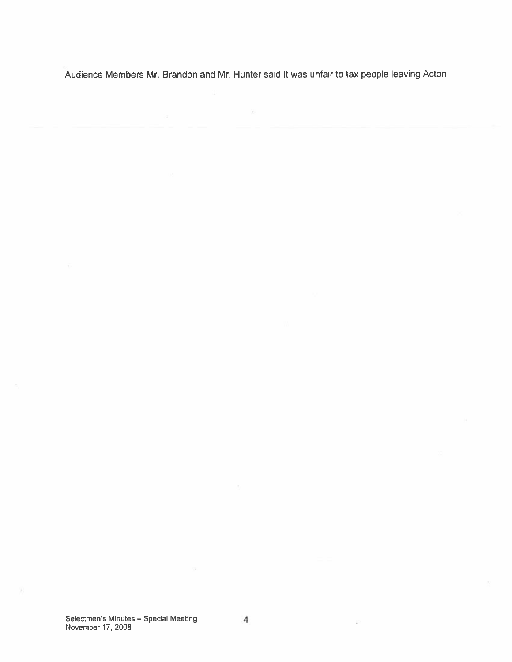Audience Members Mr. Brandon and Mr. Hunter said it was unfair to tax people leaving Acton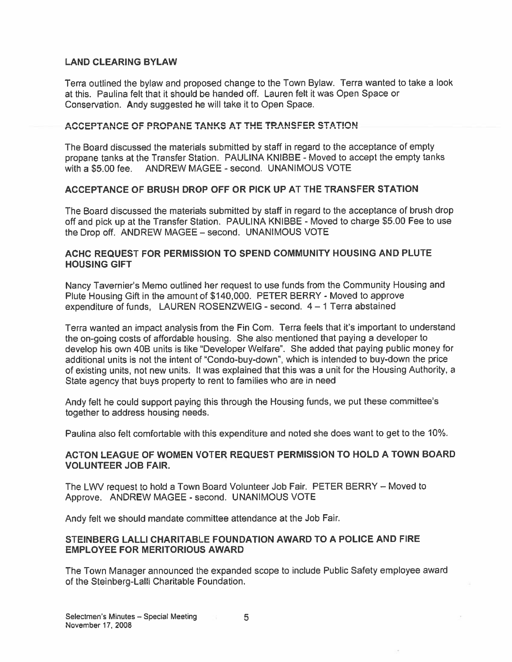### LAND CLEARING BYLAW

Terra outlined the bylaw and propose<sup>d</sup> change to the Town Bylaw. Terra wanted to take <sup>a</sup> look at this. Paulina felt that it should be handed off. Lauren felt it was Open Space or Conservation. Andy suggested he will take it to Open Space.

### ACCEPTANCE OF PROPANE TANKS AT THE TRANSFER STATION

The Board discussed the materials submitted by staff in regard to the acceptance of empty propane tanks at the Transfer Station. PAULINA KNIBBE -Moved to accep<sup>t</sup> the empty tanks with a \$5.00 fee. ANDREW MAGEE - second. UNANIMOUS VOTE

### ACCEPTANCE OF BRUSH DROP OFF OR PICK UP AT THE TRANSFER STATION

The Board discussed the materials submitted by staff in regard to the acceptance of brush drop off and <sup>p</sup>ick up at the Transfer Station. PAULINA KNIBBE - Moved to charge \$5.00 Fee to use the Drop off. ANDREW MAGEE — second. UNANIMOUS VOTE

### ACHC REQUEST FOR PERMISSION TO SPEND COMMUNITY HOUSING AND PLUTE HOUSING GIFT

Nancy Tavernier's Memo outlined her reques<sup>t</sup> to use funds from the Community Housing and Plute Housing Gift in the amount of \$140,000. PETER BERRY - Moved to approve expenditure of funds, LAUREN ROSENZWEIG - second. 4 - 1 Terra abstained

Terra wanted an impact analysis from the Fin Com. Terra feels that it's important to understand the on-going costs of affordable housing. She also mentioned that paying <sup>a</sup> developer to develop his own 40B units is like "Developer Welfare". She added that paying public money for additional units is not the intent of "Condo-buy-down", which is intended to buy-down the price of existing units, not new units. It was explained that this was <sup>a</sup> unit for the Housing Authority, <sup>a</sup> State agency that buys property to rent to families who are in need

Andy felt he could suppor<sup>t</sup> paying this through the Housing funds, we pu<sup>t</sup> these committee's together to address housing needs.

Paulina also felt comfortable with this expenditure and noted she does want to ge<sup>t</sup> to the 10%.

### ACTON LEAGUE OF WOMEN VOTER REQUEST PERMISSION TO HOLD A TOWN BOARD VOLUNTEER JOB FAIR.

The LWV reques<sup>t</sup> to hold <sup>a</sup> Town Board Volunteer Job Fair. PETER BERRY — Moved to Approve. ANDREW MAGEE - second. UNANIMOUS VOTE

Andy felt we should mandate committee attendance at the Job Fair.

### STEINBERG LALLI CHARITABLE FOUNDATION AWARD TO A POLICE AND FIRE EMPLOYEE FOR MERITORIOUS AWARD

The Town Manager announced the expanded scope to include Public Safety employee award of the Steinberg-LalIi Charitable Foundation.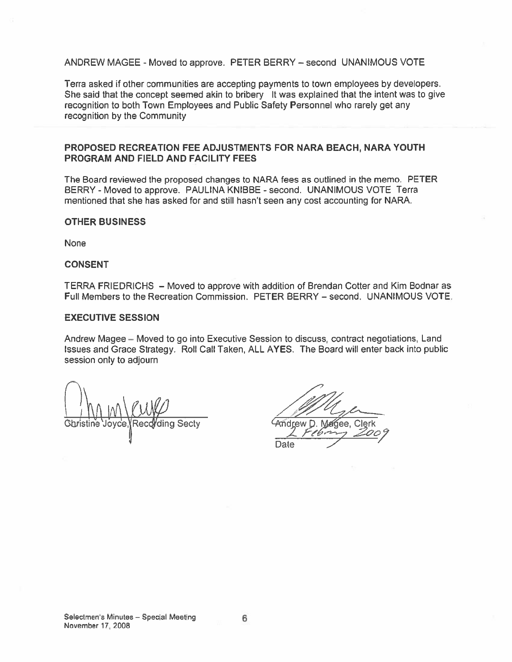#### ANDREW MAGEE - Moved to approve. PETER BERRY — second UNANIMOUS VOTE

Terra asked if other communities are accepting payments to town employees by developers. She said that the concep<sup>t</sup> seemed akin to bribery It was explained that the intent was to give recognition to both Town Employees and Public Safety Personnel who rarely ge<sup>t</sup> any recognition by the Community

#### PROPOSED RECREATION FEE ADJUSTMENTS FOR NARA BEACH, NARA YOUTH PROGRAM AND FIELD AND FACILITY FEES

The Board reviewed the proposed changes to NARA fees as outlined in the memo. PETER BERRY - Moved to approve. PAULINA KNIBBE - second. UNANIMOUS VOTE Terra mentioned that she has asked for and still hasn't seen any cost accounting for NARA.

#### OTHER BUSINESS

None

#### CONSENT

TERRA FRIEDRICHS — Moved to approve with addition of Brendan Cotter and Kim Bodnar as Full Members to the Recreation Commission. PETER BERRY — second. UNANIMOUS VOTE.

#### EXECUTIVE SESSION

Andrew Magee — Moved to go into Executive Session to discuss, contract negotiations, Land Issues and Grace Strategy. Roll Call Taken, ALL AYES. The Board will enter back into public session only to adjourn

 $\int$ ding Secty

 $L$   $F\ell$ bm Date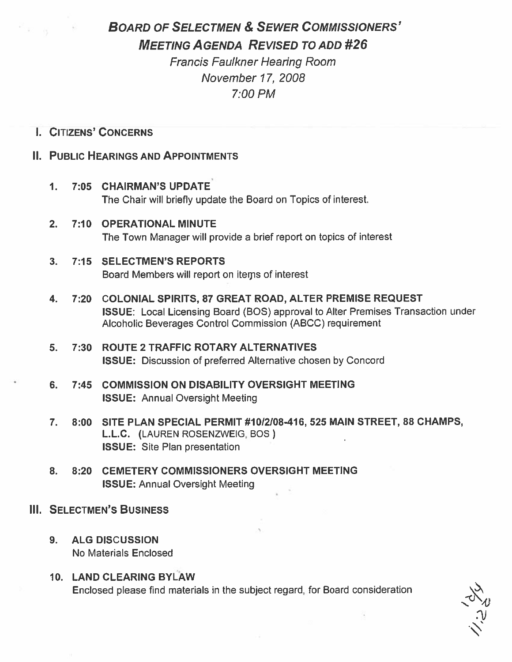# BOARD OF SELECTMEN & SEWER COMMISSIONERS' MEETING AGENDA REVISED TO ADD #26

Francis Faulkner Hearing Room November 17, 2008 7:00 PM

### I. CITIZENS' CONCERNS

ਿੰਸ਼ਾ ਲ

### II. PUBLIC HEARINGS AND APPOINTMENTS

- 1. 7:05 CHAIRMAN'S UPDATE' The Chair will briefly update the Board on Topics of interest.
- 2. 7:10 OPERATIONAL MINUTE The Town Manager will provide <sup>a</sup> brief repor<sup>t</sup> on topics of interest
- 3. 7:15 SELECTMEN'S REPORTS Board Members will repor<sup>t</sup> on iteps of interest
- 4. 7:20 COLONIAL SPIRITS, 87 GREAT ROAD, ALTER PREMISE REQUEST ISSUE: Local Licensing Board (BOS) approval to Alter Premises Transaction under Alcoholic Beverages Control Commission (ABCC) requirement
- 5. 7:30 ROUTE 2 TRAFFIC ROTARY ALTERNATIVES ISSUE: Discussion of preferred Alternative chosen by Concord
- 6. 7:45 COMMISSION ON DISABILITY OVERSIGHT MEETING ISSUE: Annual Oversight Meeting
- 7. 8:00 SITE PLAN SPECIAL PERMIT #10/2/08-416, 525 MAIN STREET, 88 CHAMPS, L.L.C. (LAUREN ROSENZWEIG, BOS) ISSUE: Site Plan presentation
- 8. 8:20 CEMETERY COMMISSIONERS OVERSIGHT MEETING ISSUE: Annual Oversight Meeting
- III. SELECTMEN'S BUSINESS
	- 9. ALG DISCUSSION No Materials Enclosed
	- 10. LAND CLEARING BYLAW Enclosed please find materials in the subject regard, for Board consideration

v<br>V.<br>V.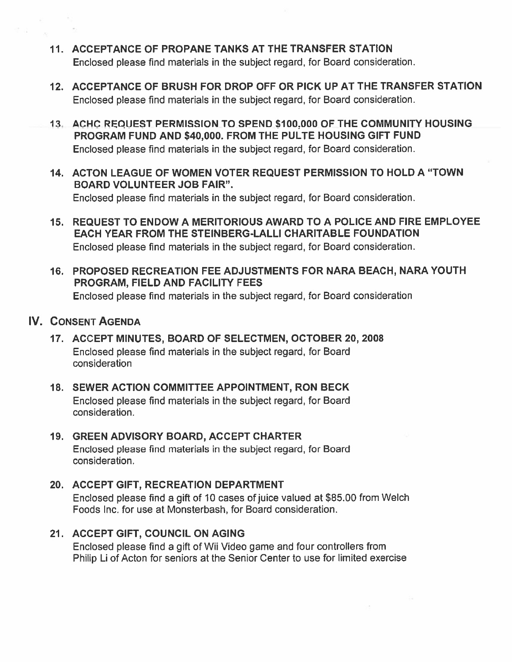- 11. ACCEPTANCE OF PROPANE TANKS AT THE TRANSFER STATION Enclosed please find materials in the subject regard, for Board consideration.
- 12. ACCEPTANCE OF BRUSH FOR DROP OFF OR PICK UP AT THE TRANSFER STATION Enclosed please find materials in the subject regard, for Board consideration.
- 13. ACHC REQUEST PERMISSION TO SPEND 5 100:000 OF THE COMMUNITY HOUSING PROGRAM FUND AND \$40,000. FROM THE PULTE HOUSING GIFT FUND Enclosed please find materials in the subject regard, for Board consideration.
- 14. ACTON LEAGUE OF WOMEN VOTER REQUEST PERMISSION TO HOLD A "TOWN BOARD VOLUNTEER JOB FAIR". Enclosed <sup>p</sup>lease find materials in the subject regard, for Board consideration.
- 15. REQUEST TO ENDOW A MERITORIOUS AWARD TO A POLICE AND FIRE EMPLOYEE EACH YEAR FROM THE STEINBERG-LALLI CHARITABLE FOUNDATION Enclosed please find materials in the subject regard, for Board consideration.
- 16. PROPOSED RECREATION FEE ADJUSTMENTS FOR NARA BEACH, NARA YOUTH PROGRAM, FIELD AND FACILITY FEES Enclosed please find materials in the subject regard, for Board consideration

### IV. CONSENT AGENDA

- 17. ACCEPT MINUTES, BOARD OF SELECTMEN, OCTOBER 20, 2008 Enclosed please find materials in the subject regard, for Board consideration
- 18. SEWER ACTION COMMITTEE APPOINTMENT, RON BECK Enclosed please find materials in the subject regard, for Board consideration.
- 19. GREEN ADVISORY BOARD, ACCEPT CHARTER Enclosed please find materials in the subject regard, for Board consideration.

## 20. ACCEPT GIFT, RECREATION DEPARTMENT Enclosed <sup>p</sup>lease find <sup>a</sup> <sup>g</sup>ift of 10 cases of juice valued at \$85.00 from Welch Foods Inc. for use at Monsterbash, for Board consideration.

21. ACCEPT GIFT, COUNCIL ON AGING Enclosed please find a gift of Wii Video game and four controllers from Philip Li of Acton for seniors at the Senior Center to use for limited exercise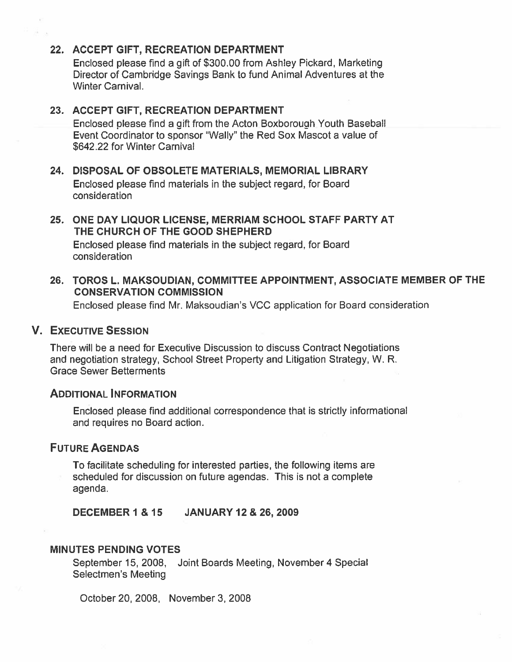### 22. ACCEPT GIFT, RECREATION DEPARTMENT

Enclosed please find <sup>a</sup> gift of \$300.00 from Ashley Pickard, Marketing Director of Cambridge Savings Bank to fund Animal Adventures at the Winter Carnival.

#### 23. ACCEPT GIFT, RECREATION DEPARTMENT

Enclosed please find <sup>a</sup> oift from the Acton Boxborough Youth Baseball Event Coordinator to sponsor "Wally" the Red Sox Mascot <sup>a</sup> value of \$642.22 for Winter Carnival

### 24. DISPOSAL OF OBSOLETE MATERIALS, MEMORIAL LIBRARY Enclosed please find materials in the subject regard, for Board consideration

# 25. ONE DAY LIQUOR LICENSE, MERRIAM SCHOOL STAFF PARTY AT THE CHURCH OF THE GOOD SHEPHERD

Enclosed please find materials in the subject regard, for Board consideration

### 26. TOROS L. MAKSOUDIAN, COMMITTEE APPOINTMENT, ASSOCIATE MEMBER OF THE CONSERVATION COMMISSION

Enclosed please find Mr. Maksoudian's VCC application for Board consideration

### V. EXECUTIVE SESSION

There will be <sup>a</sup> need for Executive Discussion to discuss Contract Negotiations and negotiation strategy, School Street Property and Litigation Strategy, W. R. Grace Sewer Betterments

#### ADDITIONAL INFORMATION

Enclosed please find additional correspondence that is strictly informational and requires no Board action.

### FUTURE AGENDAS

To facilitate scheduling for interested parties, the following items are scheduled for discussion on future agendas. This is not <sup>a</sup> complete agenda.

DECEMBER 1 & 15 JANUARY 12 & 26, 2009

#### MINUTES PENDING VOTES

September 15, 2008, Joint Boards Meeting, November 4 Special Selectmen's Meeting

October 20, 2008, November 3, 2008